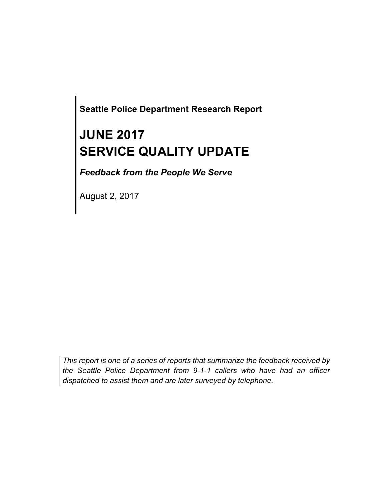**Seattle Police Department Research Report**

# **JUNE 2017 SERVICE QUALITY UPDATE**

*Feedback from the People We Serve*

August 2, 2017

*This report is one of a series of reports that summarize the feedback received by the Seattle Police Department from 9-1-1 callers who have had an officer dispatched to assist them and are later surveyed by telephone.*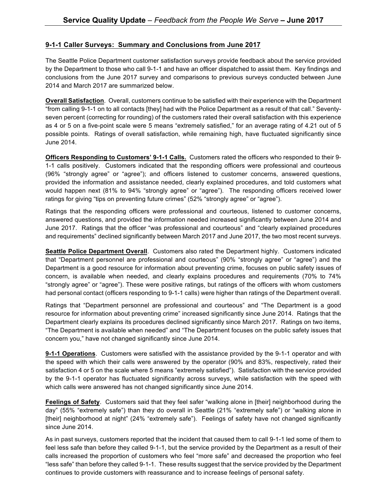#### **9-1-1 Caller Surveys: Summary and Conclusions from June 2017**

The Seattle Police Department customer satisfaction surveys provide feedback about the service provided by the Department to those who call 9-1-1 and have an officer dispatched to assist them. Key findings and conclusions from the June 2017 survey and comparisons to previous surveys conducted between June 2014 and March 2017 are summarized below.

**Overall Satisfaction**. Overall, customers continue to be satisfied with their experience with the Department "from calling 9-1-1 on to all contacts [they] had with the Police Department as a result of that call." Seventyseven percent (correcting for rounding) of the customers rated their overall satisfaction with this experience as 4 or 5 on a five-point scale were 5 means "extremely satisfied," for an average rating of 4.21 out of 5 possible points. Ratings of overall satisfaction, while remaining high, have fluctuated significantly since June 2014.

**Officers Responding to Customers' 9-1-1 Calls.** Customers rated the officers who responded to their 9- 1-1 calls positively. Customers indicated that the responding officers were professional and courteous (96% "strongly agree" or "agree"); and officers listened to customer concerns, answered questions, provided the information and assistance needed, clearly explained procedures, and told customers what would happen next (81% to 94% "strongly agree" or "agree"). The responding officers received lower ratings for giving "tips on preventing future crimes" (52% "strongly agree" or "agree").

Ratings that the responding officers were professional and courteous, listened to customer concerns, answered questions, and provided the information needed increased significantly between June 2014 and June 2017. Ratings that the officer "was professional and courteous" and "clearly explained procedures and requirements" declined significantly between March 2017 and June 2017, the two most recent surveys.

**Seattle Police Department Overall**. Customers also rated the Department highly. Customers indicated that "Department personnel are professional and courteous" (90% "strongly agree" or "agree") and the Department is a good resource for information about preventing crime, focuses on public safety issues of concern, is available when needed, and clearly explains procedures and requirements (70% to 74% "strongly agree" or "agree"). These were positive ratings, but ratings of the officers with whom customers had personal contact (officers responding to 9-1-1 calls) were higher than ratings of the Department overall.

Ratings that "Department personnel are professional and courteous" and "The Department is a good resource for information about preventing crime" increased significantly since June 2014. Ratings that the Department clearly explains its procedures declined significantly since March 2017. Ratings on two items, "The Department is available when needed" and "The Department focuses on the public safety issues that concern you," have not changed significantly since June 2014.

**9-1-1 Operations**. Customers were satisfied with the assistance provided by the 9-1-1 operator and with the speed with which their calls were answered by the operator (90% and 83%, respectively, rated their satisfaction 4 or 5 on the scale where 5 means "extremely satisfied"). Satisfaction with the service provided by the 9-1-1 operator has fluctuated significantly across surveys, while satisfaction with the speed with which calls were answered has not changed significantly since June 2014.

**Feelings of Safety**. Customers said that they feel safer "walking alone in [their] neighborhood during the day" (55% "extremely safe") than they do overall in Seattle (21% "extremely safe") or "walking alone in [their] neighborhood at night" (24% "extremely safe"). Feelings of safety have not changed significantly since June 2014.

As in past surveys, customers reported that the incident that caused them to call 9-1-1 led some of them to feel less safe than before they called 9-1-1, but the service provided by the Department as a result of their calls increased the proportion of customers who feel "more safe" and decreased the proportion who feel "less safe" than before they called 9-1-1. These results suggest that the service provided by the Department continues to provide customers with reassurance and to increase feelings of personal safety.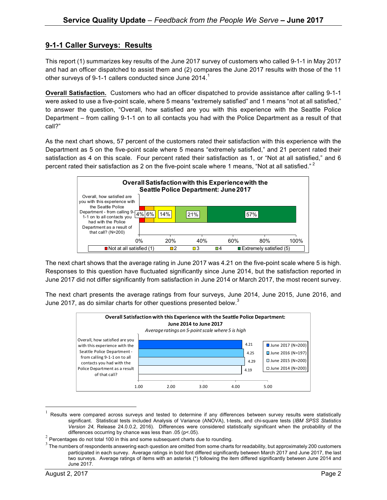### **9-1-1 Caller Surveys: Results**

This report (1) summarizes key results of the June 2017 survey of customers who called 9-1-1 in May 2017 and had an officer dispatched to assist them and (2) compares the June 2017 results with those of the 11 other surveys of 9-1-1 callers conducted since June 2014.<sup>1</sup>

**Overall Satisfaction.** Customers who had an officer dispatched to provide assistance after calling 9-1-1 were asked to use a five-point scale, where 5 means "extremely satisfied" and 1 means "not at all satisfied," to answer the question, "Overall, how satisfied are you with this experience with the Seattle Police Department – from calling 9-1-1 on to all contacts you had with the Police Department as a result of that call?"

As the next chart shows, 57 percent of the customers rated their satisfaction with this experience with the Department as 5 on the five-point scale where 5 means "extremely satisfied," and 21 percent rated their satisfaction as 4 on this scale. Four percent rated their satisfaction as 1, or "Not at all satisfied," and 6 percent rated their satisfaction as 2 on the five-point scale where 1 means, "Not at all satisfied."<sup>2</sup>



The next chart shows that the average rating in June 2017 was 4.21 on the five-point scale where 5 is high. Responses to this question have fluctuated significantly since June 2014, but the satisfaction reported in June 2017 did not differ significantly from satisfaction in June 2014 or March 2017, the most recent survey.

The next chart presents the average ratings from four surveys, June 2014, June 2015, June 2016, and June 2017, as do similar charts for other questions presented below. $^3$ 



 $1$  Results were compared across surveys and tested to determine if any differences between survey results were statistically significant. Statistical tests included Analysis of Variance (ANOVA), t-tests, and chi-square tests (*IBM SPSS Statistics Version 24,* Release 24.0.0.2, 2016). Differences were considered statistically significant when the probability of the

differences occurring by chance was less than .05 (p<.05).<br><sup>2</sup> Percentages do not total 100 in this and some subsequent charts due to rounding.

 $3$  The numbers of respondents answering each question are omitted from some charts for readability, but approximately 200 customers participated in each survey. Average ratings in bold font differed significantly between March 2017 and June 2017, the last two surveys. Average ratings of items with an asterisk (\*) following the item differed significantly between June 2014 and June 2017.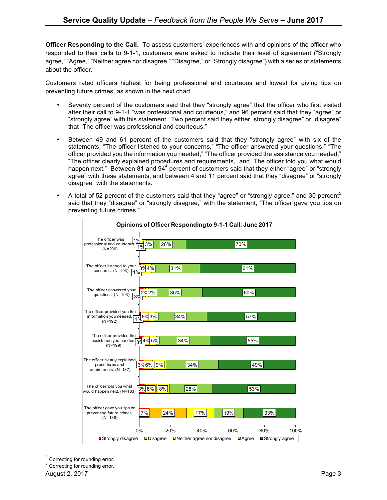**Officer Responding to the Call.** To assess customers' experiences with and opinions of the officer who responded to their calls to 9-1-1, customers were asked to indicate their level of agreement ("Strongly agree," "Agree," "Neither agree nor disagree," "Disagree," or "Strongly disagree") with a series of statements about the officer.

Customers rated officers highest for being professional and courteous and lowest for giving tips on preventing future crimes, as shown in the next chart.

- Seventy percent of the customers said that they "strongly agree" that the officer who first visited after their call to 9-1-1 "was professional and courteous," and 96 percent said that they "agree" or "strongly agree" with this statement. Two percent said they either "strongly disagree" or "disagree" that "The officer was professional and courteous."
- Between 49 and 61 percent of the customers said that they "strongly agree" with six of the statements: "The officer listened to your concerns," "The officer answered your questions," "The officer provided you the information you needed," "The officer provided the assistance you needed," "The officer clearly explained procedures and requirements," and "The officer told you what would happen next." Between 81 and  $94<sup>4</sup>$  percent of customers said that they either "agree" or "strongly agree" with these statements, and between 4 and 11 percent said that they "disagree" or "strongly disagree" with the statements.
- A total of 52 percent of the customers said that they "agree" or "strongly agree," and 30 percent" said that they "disagree" or "strongly disagree," with the statement, "The officer gave you tips on preventing future crimes."

| Opinions of Officer Responding to 9-1-1 Call: June 2017                              |                                                         |                             |                                 |
|--------------------------------------------------------------------------------------|---------------------------------------------------------|-----------------------------|---------------------------------|
| The officer was<br>1%<br>26%<br>3%<br>professional and courteous.<br>1%<br>$(N=200)$ |                                                         | 70%                         |                                 |
| The officer listened to your<br>3%4%<br>concerns. (N=193)<br>1%                      | 31%                                                     | 61%                         |                                 |
| The officer answered your<br>2%2%<br>questions. (N=193)<br>3%                        | 35%                                                     | 60%                         |                                 |
| The officer provided you the<br>6%3%<br>information you needed.<br>$(N=192)$         | 34%                                                     | 57%                         |                                 |
| The officer provided the<br>assistance you needed 39 4% 5%<br>$(N=199)$              | 34%                                                     | 55%                         |                                 |
| The officer clearly explained<br>3%6% 9%<br>procedures and<br>requirements. (N=187)  | 34%                                                     |                             | 49%                             |
| The officer told you what<br>3%8%<br>8%<br>would happen next. (N=183)                | 28%                                                     | 53%                         |                                 |
| The officer gave you tips on<br>preventing future crimes.<br>7%<br>24%<br>$(N=138)$  | 17%                                                     | 19%                         | 33%                             |
| 0%<br>■ Strongly disagree<br>Disagree                                                | 40%<br>20%<br>$\blacksquare$ Neither agree nor disagree | 60%<br>$\blacksquare$ Agree | 80%<br>100%<br>■ Strongly agree |

Correcting for rounding error.

<sup>5</sup> Correcting for rounding error.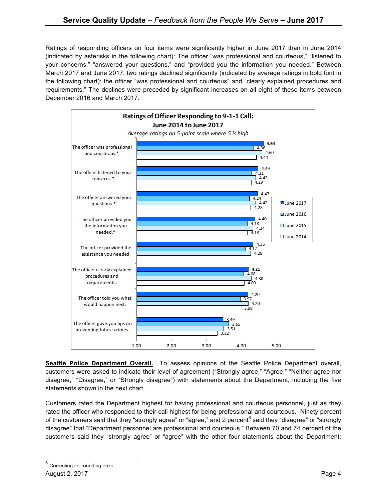Ratings of responding officers on four items were significantly higher in June 2017 than in June 2014 (indicated by asterisks in the following chart): The officer "was professional and courteous," "listened to your concerns," "answered your questions," and "provided you the information you needed." Between March 2017 and June 2017, two ratings declined significantly (indicated by average ratings in bold font in the following chart): the officer "was professional and courteous" and "clearly explained procedures and requirements." The declines were preceded by significant increases on all eight of these items between December 2016 and March 2017.



**Seattle Police Department Overall.** To assess opinions of the Seattle Police Department overall, customers were asked to indicate their level of agreement ("Strongly agree," "Agree," "Neither agree nor disagree," "Disagree," or "Strongly disagree") with statements about the Department, including the five statements shown in the next chart.

Customers rated the Department highest for having professional and courteous personnel, just as they rated the officer who responded to their call highest for being professional and courteous. Ninety percent of the customers said that they "strongly agree" or "agree," and 2 percent<sup>6</sup> said they "disagree" or "strongly disagree" that "Department personnel are professional and courteous." Between 70 and 74 percent of the customers said they "strongly agree" or "agree" with the other four statements about the Department;

Correcting for rounding error.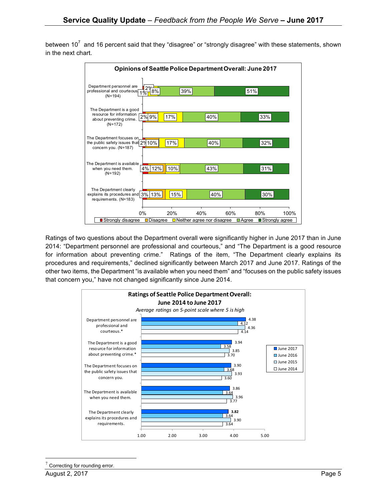between  $10^7$  and 16 percent said that they "disagree" or "strongly disagree" with these statements, shown in the next chart.



Ratings of two questions about the Department overall were significantly higher in June 2017 than in June 2014: "Department personnel are professional and courteous," and "The Department is a good resource for information about preventing crime." Ratings of the item, "The Department clearly explains its procedures and requirements," declined significantly between March 2017 and June 2017. Ratings of the other two items, the Department "is available when you need them" and "focuses on the public safety issues that concern you," have not changed significantly since June 2014.



Correcting for rounding error.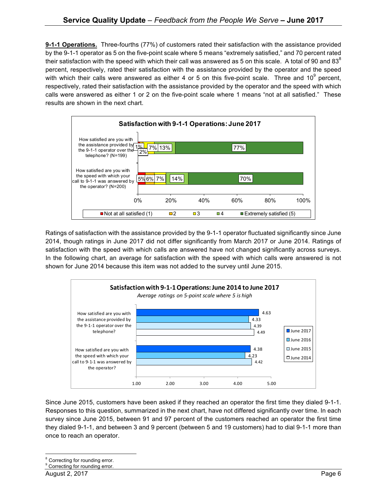**9-1-1 Operations.** Three-fourths (77%) of customers rated their satisfaction with the assistance provided by the 9-1-1 operator as 5 on the five-point scale where 5 means "extremely satisfied," and 70 percent rated their satisfaction with the speed with which their call was answered as 5 on this scale. A total of 90 and 83 $^{\circ}$ percent, respectively, rated their satisfaction with the assistance provided by the operator and the speed with which their calls were answered as either 4 or 5 on this five-point scale. Three and  $10^9$  percent, respectively, rated their satisfaction with the assistance provided by the operator and the speed with which calls were answered as either 1 or 2 on the five-point scale where 1 means "not at all satisfied." These results are shown in the next chart.



Ratings of satisfaction with the assistance provided by the 9-1-1 operator fluctuated significantly since June 2014, though ratings in June 2017 did not differ significantly from March 2017 or June 2014. Ratings of satisfaction with the speed with which calls are answered have not changed significantly across surveys. In the following chart, an average for satisfaction with the speed with which calls were answered is not shown for June 2014 because this item was not added to the survey until June 2015.



Since June 2015, customers have been asked if they reached an operator the first time they dialed 9-1-1. Responses to this question, summarized in the next chart, have not differed significantly over time. In each survey since June 2015, between 91 and 97 percent of the customers reached an operator the first time they dialed 9-1-1, and between 3 and 9 percent (between 5 and 19 customers) had to dial 9-1-1 more than once to reach an operator.

<sup>&</sup>lt;sup>8</sup> Correcting for rounding error.

<sup>&</sup>lt;sup>9</sup> Correcting for rounding error.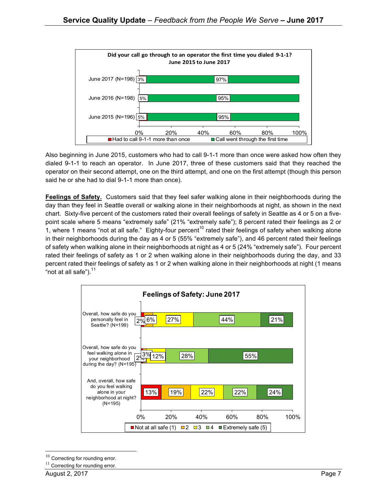

Also beginning in June 2015, customers who had to call 9-1-1 more than once were asked how often they dialed 9-1-1 to reach an operator. In June 2017, three of these customers said that they reached the operator on their second attempt, one on the third attempt, and one on the first attempt (though this person said he or she had to dial 9-1-1 more than once).

**Feelings of Safety.** Customers said that they feel safer walking alone in their neighborhoods during the day than they feel in Seattle overall or walking alone in their neighborhoods at night, as shown in the next chart. Sixty-five percent of the customers rated their overall feelings of safety in Seattle as 4 or 5 on a fivepoint scale where 5 means "extremely safe" (21% "extremely safe"); 8 percent rated their feelings as 2 or 1, where 1 means "not at all safe." Eighty-four percent<sup>10</sup> rated their feelings of safety when walking alone in their neighborhoods during the day as 4 or 5 (55% "extremely safe"), and 46 percent rated their feelings of safety when walking alone in their neighborhoods at night as 4 or 5 (24% "extremely safe"). Four percent rated their feelings of safety as 1 or 2 when walking alone in their neighborhoods during the day, and 33 percent rated their feelings of safety as 1 or 2 when walking alone in their neighborhoods at night (1 means "not at all safe").<sup>11</sup>



 $10$  Correcting for rounding error.

 $11$  Correcting for rounding error.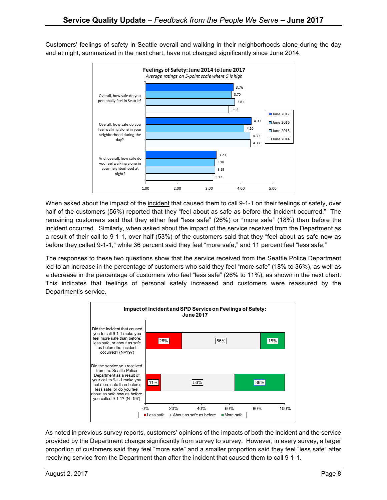Customers' feelings of safety in Seattle overall and walking in their neighborhoods alone during the day and at night, summarized in the next chart, have not changed significantly since June 2014.



When asked about the impact of the incident that caused them to call 9-1-1 on their feelings of safety, over half of the customers (56%) reported that they "feel about as safe as before the incident occurred." The remaining customers said that they either feel "less safe" (26%) or "more safe" (18%) than before the incident occurred. Similarly, when asked about the impact of the service received from the Department as a result of their call to 9-1-1, over half (53%) of the customers said that they "feel about as safe now as before they called 9-1-1," while 36 percent said they feel "more safe," and 11 percent feel "less safe."

The responses to these two questions show that the service received from the Seattle Police Department led to an increase in the percentage of customers who said they feel "more safe" (18% to 36%), as well as a decrease in the percentage of customers who feel "less safe" (26% to 11%), as shown in the next chart. This indicates that feelings of personal safety increased and customers were reassured by the Department's service.



As noted in previous survey reports, customers' opinions of the impacts of both the incident and the service provided by the Department change significantly from survey to survey. However, in every survey, a larger proportion of customers said they feel "more safe" and a smaller proportion said they feel "less safe" after receiving service from the Department than after the incident that caused them to call 9-1-1.